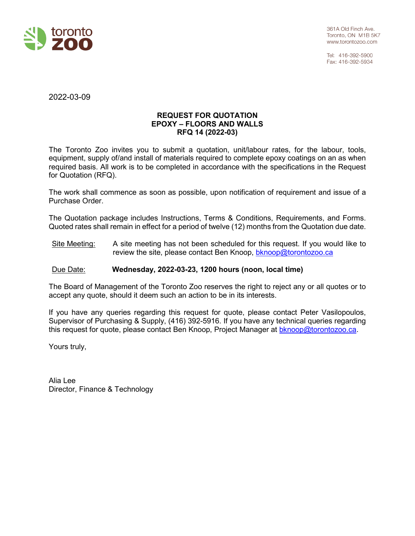

Tel: 416-392-5900 Fax: 416-392-5934

2022-03-09

#### **REQUEST FOR QUOTATION EPOXY – FLOORS AND WALLS RFQ 14 (2022-03)**

The Toronto Zoo invites you to submit a quotation, unit/labour rates, for the labour, tools, equipment, supply of/and install of materials required to complete epoxy coatings on an as when required basis. All work is to be completed in accordance with the specifications in the Request for Quotation (RFQ).

The work shall commence as soon as possible, upon notification of requirement and issue of a Purchase Order.

The Quotation package includes Instructions, Terms & Conditions, Requirements, and Forms. Quoted rates shall remain in effect for a period of twelve (12) months from the Quotation due date.

Site Meeting: A site meeting has not been scheduled for this request. If you would like to review the site, please contact Ben Knoop, [bknoop@torontozoo.ca](mailto:bknoop@torontozoo.ca)

## Due Date: **Wednesday, 2022-03-23, 1200 hours (noon, local time)**

The Board of Management of the Toronto Zoo reserves the right to reject any or all quotes or to accept any quote, should it deem such an action to be in its interests.

If you have any queries regarding this request for quote, please contact Peter Vasilopoulos, Supervisor of Purchasing & Supply, (416) 392-5916. If you have any technical queries regarding this request for quote, please contact Ben Knoop, Project Manager at [bknoop@torontozoo.ca.](mailto:bknoop@torontozoo.ca)

Yours truly,

Alia Lee Director, Finance & Technology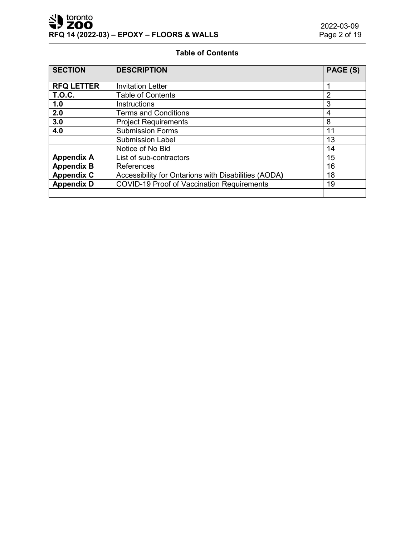# **Table of Contents**

| <b>SECTION</b>    | <b>DESCRIPTION</b>                                         | PAGE (S)       |
|-------------------|------------------------------------------------------------|----------------|
| <b>RFQ LETTER</b> | <b>Invitation Letter</b>                                   |                |
| <b>T.O.C.</b>     | <b>Table of Contents</b>                                   | $\overline{2}$ |
| 1.0               | <b>Instructions</b>                                        | 3              |
| 2.0               | <b>Terms and Conditions</b>                                | 4              |
| 3.0               | <b>Project Requirements</b>                                | 8              |
| 4.0               | <b>Submission Forms</b>                                    | 11             |
|                   | <b>Submission Label</b>                                    | 13             |
|                   | Notice of No Bid                                           | 14             |
| <b>Appendix A</b> | List of sub-contractors                                    |                |
| <b>Appendix B</b> | 16<br><b>References</b>                                    |                |
| <b>Appendix C</b> | Accessibility for Ontarions with Disabilities (AODA)<br>18 |                |
| <b>Appendix D</b> | <b>COVID-19 Proof of Vaccination Requirements</b><br>19    |                |
|                   |                                                            |                |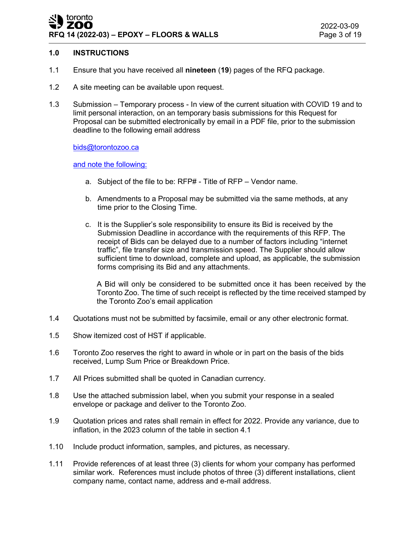## **1.0 INSTRUCTIONS**

- 1.1 Ensure that you have received all **nineteen** (**19**) pages of the RFQ package.
- 1.2 A site meeting can be available upon request.
- 1.3 Submission Temporary process In view of the current situation with COVID 19 and to limit personal interaction, on an temporary basis submissions for this Request for Proposal can be submitted electronically by email in a PDF file, prior to the submission deadline to the following email address

[bids@torontozoo.ca](mailto:bids@torontozoo.ca)

and note the following:

- a. Subject of the file to be: RFP# Title of RFP Vendor name.
- b. Amendments to a Proposal may be submitted via the same methods, at any time prior to the Closing Time.
- c. It is the Supplier's sole responsibility to ensure its Bid is received by the Submission Deadline in accordance with the requirements of this RFP. The receipt of Bids can be delayed due to a number of factors including "internet traffic", file transfer size and transmission speed. The Supplier should allow sufficient time to download, complete and upload, as applicable, the submission forms comprising its Bid and any attachments.

A Bid will only be considered to be submitted once it has been received by the Toronto Zoo. The time of such receipt is reflected by the time received stamped by the Toronto Zoo's email application

- 1.4 Quotations must not be submitted by facsimile, email or any other electronic format.
- 1.5 Show itemized cost of HST if applicable.
- 1.6 Toronto Zoo reserves the right to award in whole or in part on the basis of the bids received, Lump Sum Price or Breakdown Price.
- 1.7 All Prices submitted shall be quoted in Canadian currency.
- 1.8 Use the attached submission label, when you submit your response in a sealed envelope or package and deliver to the Toronto Zoo.
- 1.9 Quotation prices and rates shall remain in effect for 2022. Provide any variance, due to inflation, in the 2023 column of the table in section 4.1
- 1.10 Include product information, samples, and pictures, as necessary.
- 1.11 Provide references of at least three (3) clients for whom your company has performed similar work. References must include photos of three (3) different installations, client company name, contact name, address and e-mail address.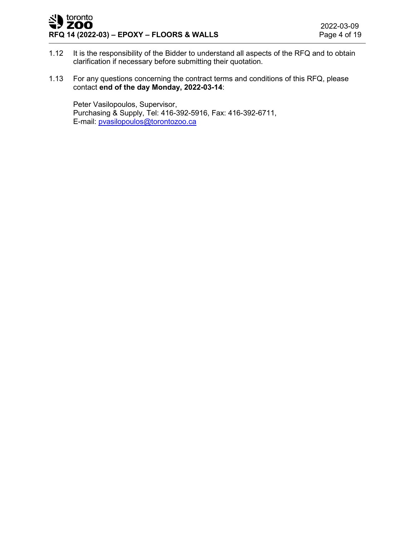#### toronto ' ZOO **RFQ 14 (2022-03) – EPOXY – FLOORS & WALLS**

- 1.12 It is the responsibility of the Bidder to understand all aspects of the RFQ and to obtain clarification if necessary before submitting their quotation.
- 1.13 For any questions concerning the contract terms and conditions of this RFQ, please contact **end of the day Monday, 2022-03-14**:

Peter Vasilopoulos, Supervisor, Purchasing & Supply, Tel: 416-392-5916, Fax: 416-392-6711, E-mail: [pvasilopoulos@torontozoo.ca](mailto:pvasilopoulos@torontozoo.ca)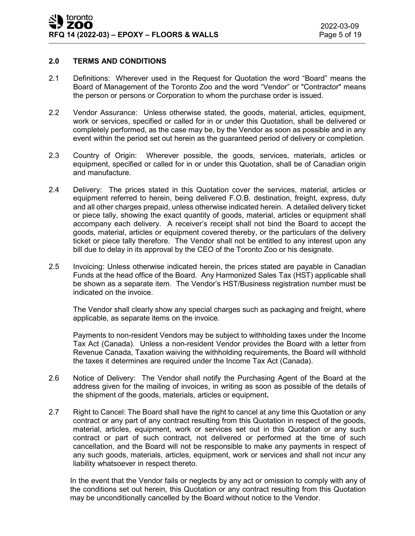#### **2.0 TERMS AND CONDITIONS**

- 2.1 Definitions: Wherever used in the Request for Quotation the word "Board" means the Board of Management of the Toronto Zoo and the word "Vendor" or "Contractor" means the person or persons or Corporation to whom the purchase order is issued.
- 2.2 Vendor Assurance: Unless otherwise stated, the goods, material, articles, equipment, work or services, specified or called for in or under this Quotation, shall be delivered or completely performed, as the case may be, by the Vendor as soon as possible and in any event within the period set out herein as the guaranteed period of delivery or completion.
- 2.3 Country of Origin: Wherever possible, the goods, services, materials, articles or equipment, specified or called for in or under this Quotation, shall be of Canadian origin and manufacture.
- 2.4 Delivery: The prices stated in this Quotation cover the services, material, articles or equipment referred to herein, being delivered F.O.B. destination, freight, express, duty and all other charges prepaid, unless otherwise indicated herein. A detailed delivery ticket or piece tally, showing the exact quantity of goods, material, articles or equipment shall accompany each delivery. A receiver's receipt shall not bind the Board to accept the goods, material, articles or equipment covered thereby, or the particulars of the delivery ticket or piece tally therefore. The Vendor shall not be entitled to any interest upon any bill due to delay in its approval by the CEO of the Toronto Zoo or his designate.
- 2.5 Invoicing: Unless otherwise indicated herein, the prices stated are payable in Canadian Funds at the head office of the Board. Any Harmonized Sales Tax (HST) applicable shall be shown as a separate item. The Vendor's HST/Business registration number must be indicated on the invoice.

The Vendor shall clearly show any special charges such as packaging and freight, where applicable, as separate items on the invoice.

Payments to non-resident Vendors may be subject to withholding taxes under the Income Tax Act (Canada). Unless a non-resident Vendor provides the Board with a letter from Revenue Canada, Taxation waiving the withholding requirements, the Board will withhold the taxes it determines are required under the Income Tax Act (Canada).

- 2.6 Notice of Delivery: The Vendor shall notify the Purchasing Agent of the Board at the address given for the mailing of invoices, in writing as soon as possible of the details of the shipment of the goods, materials, articles or equipment**.**
- 2.7 Right to Cancel: The Board shall have the right to cancel at any time this Quotation or any contract or any part of any contract resulting from this Quotation in respect of the goods, material, articles, equipment, work or services set out in this Quotation or any such contract or part of such contract, not delivered or performed at the time of such cancellation, and the Board will not be responsible to make any payments in respect of any such goods, materials, articles, equipment, work or services and shall not incur any liability whatsoever in respect thereto.

In the event that the Vendor fails or neglects by any act or omission to comply with any of the conditions set out herein, this Quotation or any contract resulting from this Quotation may be unconditionally cancelled by the Board without notice to the Vendor.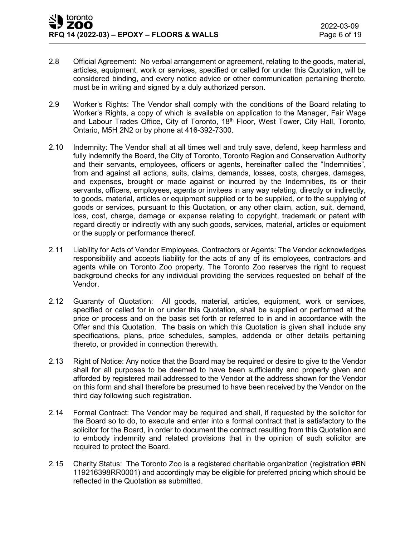- 2.8 Official Agreement: No verbal arrangement or agreement, relating to the goods, material, articles, equipment, work or services, specified or called for under this Quotation, will be considered binding, and every notice advice or other communication pertaining thereto, must be in writing and signed by a duly authorized person.
- 2.9 Worker's Rights: The Vendor shall comply with the conditions of the Board relating to Worker's Rights, a copy of which is available on application to the Manager, Fair Wage and Labour Trades Office, City of Toronto, 18<sup>th</sup> Floor, West Tower, City Hall, Toronto, Ontario, M5H 2N2 or by phone at 416-392-7300.
- 2.10 Indemnity: The Vendor shall at all times well and truly save, defend, keep harmless and fully indemnify the Board, the City of Toronto, Toronto Region and Conservation Authority and their servants, employees, officers or agents, hereinafter called the "Indemnities", from and against all actions, suits, claims, demands, losses, costs, charges, damages, and expenses, brought or made against or incurred by the Indemnities, its or their servants, officers, employees, agents or invitees in any way relating, directly or indirectly, to goods, material, articles or equipment supplied or to be supplied, or to the supplying of goods or services, pursuant to this Quotation, or any other claim, action, suit, demand, loss, cost, charge, damage or expense relating to copyright, trademark or patent with regard directly or indirectly with any such goods, services, material, articles or equipment or the supply or performance thereof.
- 2.11 Liability for Acts of Vendor Employees, Contractors or Agents: The Vendor acknowledges responsibility and accepts liability for the acts of any of its employees, contractors and agents while on Toronto Zoo property. The Toronto Zoo reserves the right to request background checks for any individual providing the services requested on behalf of the Vendor.
- 2.12 Guaranty of Quotation: All goods, material, articles, equipment, work or services, specified or called for in or under this Quotation, shall be supplied or performed at the price or process and on the basis set forth or referred to in and in accordance with the Offer and this Quotation. The basis on which this Quotation is given shall include any specifications, plans, price schedules, samples, addenda or other details pertaining thereto, or provided in connection therewith.
- 2.13 Right of Notice: Any notice that the Board may be required or desire to give to the Vendor shall for all purposes to be deemed to have been sufficiently and properly given and afforded by registered mail addressed to the Vendor at the address shown for the Vendor on this form and shall therefore be presumed to have been received by the Vendor on the third day following such registration.
- 2.14 Formal Contract: The Vendor may be required and shall, if requested by the solicitor for the Board so to do, to execute and enter into a formal contract that is satisfactory to the solicitor for the Board, in order to document the contract resulting from this Quotation and to embody indemnity and related provisions that in the opinion of such solicitor are required to protect the Board.
- 2.15 Charity Status: The Toronto Zoo is a registered charitable organization (registration #BN 119216398RR0001) and accordingly may be eligible for preferred pricing which should be reflected in the Quotation as submitted.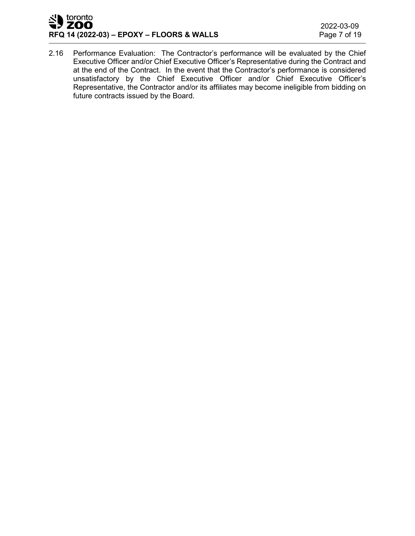#### toronto JY ZOO **RFQ 14 (2022-03) – EPOXY – FLOORS & WALLS**

2.16 Performance Evaluation: The Contractor's performance will be evaluated by the Chief Executive Officer and/or Chief Executive Officer's Representative during the Contract and at the end of the Contract. In the event that the Contractor's performance is considered unsatisfactory by the Chief Executive Officer and/or Chief Executive Officer's Representative, the Contractor and/or its affiliates may become ineligible from bidding on future contracts issued by the Board.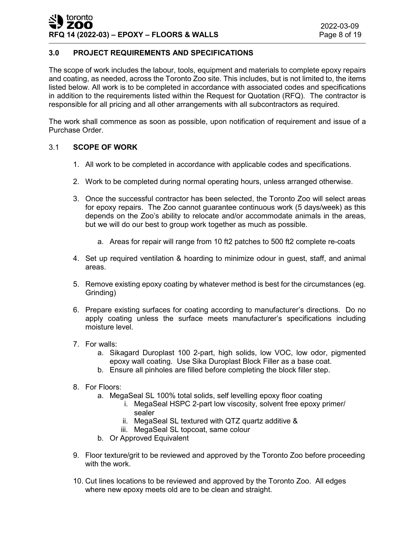# **3.0 PROJECT REQUIREMENTS AND SPECIFICATIONS**

The scope of work includes the labour, tools, equipment and materials to complete epoxy repairs and coating, as needed, across the Toronto Zoo site. This includes, but is not limited to, the items listed below. All work is to be completed in accordance with associated codes and specifications in addition to the requirements listed within the Request for Quotation (RFQ). The contractor is responsible for all pricing and all other arrangements with all subcontractors as required.

The work shall commence as soon as possible, upon notification of requirement and issue of a Purchase Order.

#### 3.1 **SCOPE OF WORK**

- 1. All work to be completed in accordance with applicable codes and specifications.
- 2. Work to be completed during normal operating hours, unless arranged otherwise.
- 3. Once the successful contractor has been selected, the Toronto Zoo will select areas for epoxy repairs. The Zoo cannot guarantee continuous work (5 days/week) as this depends on the Zoo's ability to relocate and/or accommodate animals in the areas, but we will do our best to group work together as much as possible.
	- a. Areas for repair will range from 10 ft2 patches to 500 ft2 complete re-coats
- 4. Set up required ventilation & hoarding to minimize odour in guest, staff, and animal areas.
- 5. Remove existing epoxy coating by whatever method is best for the circumstances (eg. Grinding)
- 6. Prepare existing surfaces for coating according to manufacturer's directions. Do no apply coating unless the surface meets manufacturer's specifications including moisture level.
- 7. For walls:
	- a. Sikagard Duroplast 100 2-part, high solids, low VOC, low odor, pigmented epoxy wall coating. Use Sika Duroplast Block Filler as a base coat.
	- b. Ensure all pinholes are filled before completing the block filler step.
- 8. For Floors:
	- a. MegaSeal SL 100% total solids, self levelling epoxy floor coating
		- i. MegaSeal HSPC 2-part low viscosity, solvent free epoxy primer/ sealer
		- ii. MegaSeal SL textured with QTZ quartz additive &
		- iii. MegaSeal SL topcoat, same colour
	- b. Or Approved Equivalent
- 9. Floor texture/grit to be reviewed and approved by the Toronto Zoo before proceeding with the work.
- 10. Cut lines locations to be reviewed and approved by the Toronto Zoo. All edges where new epoxy meets old are to be clean and straight.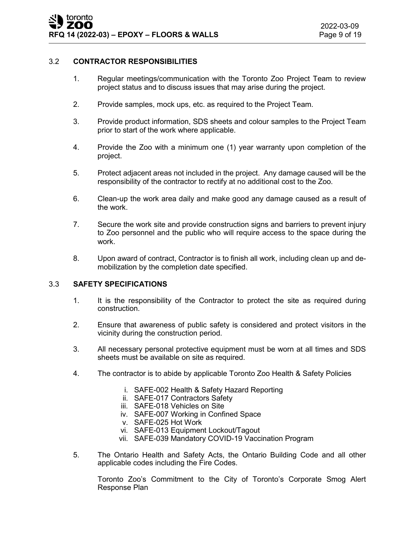#### 3.2 **CONTRACTOR RESPONSIBILITIES**

- 1. Regular meetings/communication with the Toronto Zoo Project Team to review project status and to discuss issues that may arise during the project.
- 2. Provide samples, mock ups, etc. as required to the Project Team.
- 3. Provide product information, SDS sheets and colour samples to the Project Team prior to start of the work where applicable.
- 4. Provide the Zoo with a minimum one (1) year warranty upon completion of the project.
- 5. Protect adjacent areas not included in the project. Any damage caused will be the responsibility of the contractor to rectify at no additional cost to the Zoo.
- 6. Clean-up the work area daily and make good any damage caused as a result of the work.
- 7. Secure the work site and provide construction signs and barriers to prevent injury to Zoo personnel and the public who will require access to the space during the work.
- 8. Upon award of contract, Contractor is to finish all work, including clean up and demobilization by the completion date specified.

## 3.3 **SAFETY SPECIFICATIONS**

- 1. It is the responsibility of the Contractor to protect the site as required during construction.
- 2. Ensure that awareness of public safety is considered and protect visitors in the vicinity during the construction period.
- 3. All necessary personal protective equipment must be worn at all times and SDS sheets must be available on site as required.
- 4. The contractor is to abide by applicable Toronto Zoo Health & Safety Policies
	- i. SAFE-002 Health & Safety Hazard Reporting
	- ii. SAFE-017 Contractors Safety
	- iii. SAFE-018 Vehicles on Site
	- iv. SAFE-007 Working in Confined Space
	- v. SAFE-025 Hot Work
	- vi. SAFE-013 Equipment Lockout/Tagout
	- vii. SAFE-039 Mandatory COVID-19 Vaccination Program
- 5. The Ontario Health and Safety Acts, the Ontario Building Code and all other applicable codes including the Fire Codes.

Toronto Zoo's Commitment to the City of Toronto's Corporate Smog Alert Response Plan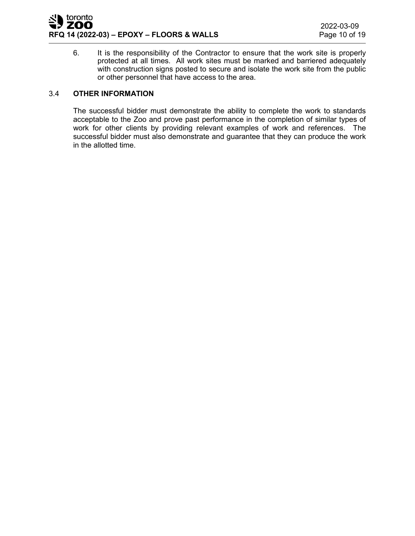

6. It is the responsibility of the Contractor to ensure that the work site is properly protected at all times. All work sites must be marked and barriered adequately with construction signs posted to secure and isolate the work site from the public or other personnel that have access to the area.

#### 3.4 **OTHER INFORMATION**

The successful bidder must demonstrate the ability to complete the work to standards acceptable to the Zoo and prove past performance in the completion of similar types of work for other clients by providing relevant examples of work and references. The successful bidder must also demonstrate and guarantee that they can produce the work in the allotted time.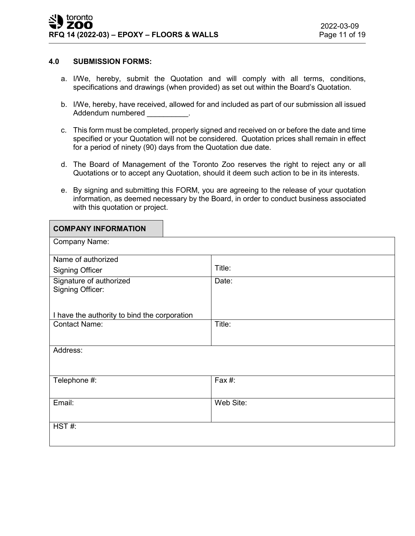#### **4.0 SUBMISSION FORMS:**

- a. I/We, hereby, submit the Quotation and will comply with all terms, conditions, specifications and drawings (when provided) as set out within the Board's Quotation.
- b. I/We, hereby, have received, allowed for and included as part of our submission all issued Addendum numbered **Addendum** numbered
- c. This form must be completed, properly signed and received on or before the date and time specified or your Quotation will not be considered. Quotation prices shall remain in effect for a period of ninety (90) days from the Quotation due date.
- d. The Board of Management of the Toronto Zoo reserves the right to reject any or all Quotations or to accept any Quotation, should it deem such action to be in its interests.
- e. By signing and submitting this FORM, you are agreeing to the release of your quotation information, as deemed necessary by the Board, in order to conduct business associated with this quotation or project.

| <b>COMPANY INFORMATION</b>                   |           |
|----------------------------------------------|-----------|
| Company Name:                                |           |
| Name of authorized                           |           |
| <b>Signing Officer</b>                       | Title:    |
| Signature of authorized<br>Signing Officer:  | Date:     |
| I have the authority to bind the corporation |           |
| <b>Contact Name:</b>                         | Title:    |
| Address:                                     |           |
| Telephone #:                                 | Fax #:    |
| Email:                                       | Web Site: |
| HST#:                                        |           |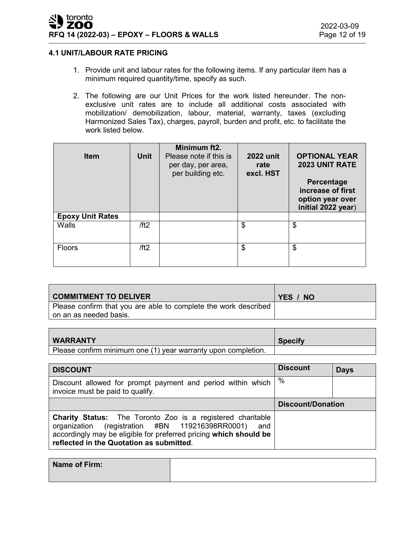## **4.1 UNIT/LABOUR RATE PRICING**

- 1. Provide unit and labour rates for the following items. If any particular item has a minimum required quantity/time, specify as such.
- 2. The following are our Unit Prices for the work listed hereunder. The nonexclusive unit rates are to include all additional costs associated with mobilization/ demobilization, labour, material, warranty, taxes (excluding Harmonized Sales Tax), charges, payroll, burden and profit, etc. to facilitate the work listed below.

| <b>Item</b>             | <b>Unit</b> | Minimum ft2.<br>Please note if this is<br>per day, per area,<br>per building etc. | <b>2022 unit</b><br>rate<br>excl. HST | <b>OPTIONAL YEAR</b><br><b>2023 UNIT RATE</b><br>Percentage<br>increase of first<br>option year over<br>initial 2022 year) |
|-------------------------|-------------|-----------------------------------------------------------------------------------|---------------------------------------|----------------------------------------------------------------------------------------------------------------------------|
| <b>Epoxy Unit Rates</b> |             |                                                                                   |                                       |                                                                                                                            |
| Walls                   | /ft2        |                                                                                   | \$                                    | \$                                                                                                                         |
| Floors                  | /ft2        |                                                                                   | \$                                    | \$                                                                                                                         |

| <b>COMMITMENT TO DELIVER</b>                                                                | YES / NO |
|---------------------------------------------------------------------------------------------|----------|
| Please confirm that you are able to complete the work described<br>l on an as needed basis. |          |

| <b>WARRANTY</b>                                               | <b>Specify</b> |
|---------------------------------------------------------------|----------------|
| Please confirm minimum one (1) year warranty upon completion. |                |

| <b>DISCOUNT</b>                                                                                                                                                                                                                              | <b>Discount</b>          | <b>Days</b> |
|----------------------------------------------------------------------------------------------------------------------------------------------------------------------------------------------------------------------------------------------|--------------------------|-------------|
| Discount allowed for prompt payment and period within which<br>invoice must be paid to qualify.                                                                                                                                              | $\%$                     |             |
|                                                                                                                                                                                                                                              | <b>Discount/Donation</b> |             |
| <b>Charity Status:</b> The Toronto Zoo is a registered charitable<br>(registration #BN 119216398RR0001) and<br>organization<br>accordingly may be eligible for preferred pricing which should be<br>reflected in the Quotation as submitted. |                          |             |

| Name of Firm: |  |
|---------------|--|
|               |  |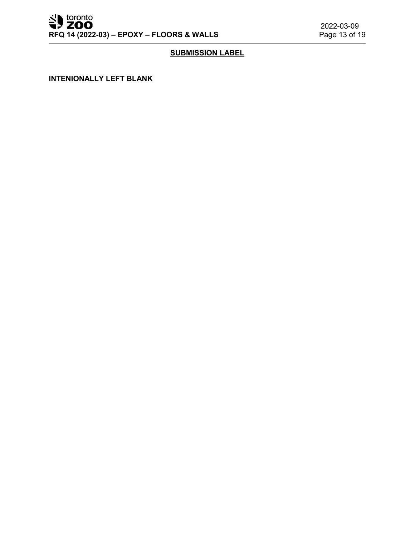# **SUBMISSION LABEL**

**INTENIONALLY LEFT BLANK**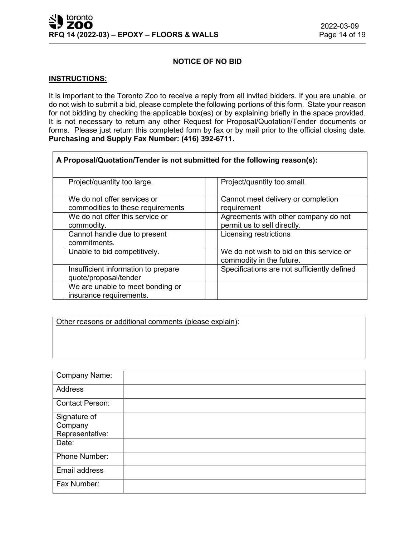## **NOTICE OF NO BID**

#### **INSTRUCTIONS:**

It is important to the Toronto Zoo to receive a reply from all invited bidders. If you are unable, or do not wish to submit a bid, please complete the following portions of this form. State your reason for not bidding by checking the applicable box(es) or by explaining briefly in the space provided. It is not necessary to return any other Request for Proposal/Quotation/Tender documents or forms. Please just return this completed form by fax or by mail prior to the official closing date. **Purchasing and Supply Fax Number: (416) 392-6711.**

| A Proposal/Quotation/Tender is not submitted for the following reason(s): |                                                                      |  |
|---------------------------------------------------------------------------|----------------------------------------------------------------------|--|
| Project/quantity too large.                                               | Project/quantity too small.                                          |  |
| We do not offer services or<br>commodities to these requirements          | Cannot meet delivery or completion<br>requirement                    |  |
| We do not offer this service or<br>commodity.                             | Agreements with other company do not<br>permit us to sell directly.  |  |
| Cannot handle due to present<br>commitments.                              | Licensing restrictions                                               |  |
| Unable to bid competitively.                                              | We do not wish to bid on this service or<br>commodity in the future. |  |
| Insufficient information to prepare<br>quote/proposal/tender              | Specifications are not sufficiently defined                          |  |
| We are unable to meet bonding or<br>insurance requirements.               |                                                                      |  |

Other reasons or additional comments (please explain):

| <b>Company Name:</b>   |  |
|------------------------|--|
| Address                |  |
| <b>Contact Person:</b> |  |
| Signature of           |  |
| Company                |  |
| Representative:        |  |
| Date:                  |  |
| Phone Number:          |  |
| Email address          |  |
| Fax Number:            |  |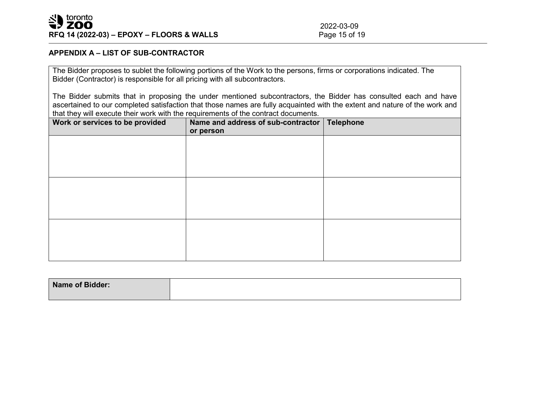### **APPENDIX A – LIST OF SUB-CONTRACTOR**

The Bidder proposes to sublet the following portions of the Work to the persons, firms or corporations indicated. The Bidder (Contractor) is responsible for all pricing with all subcontractors.

The Bidder submits that in proposing the under mentioned subcontractors, the Bidder has consulted each and have ascertained to our completed satisfaction that those names are fully acquainted with the extent and nature of the work and that they will execute their work with the requirements of the contract documents.

| Work or services to be provided | Name and address of sub-contractor   Telephone<br>or person |  |
|---------------------------------|-------------------------------------------------------------|--|
|                                 |                                                             |  |
|                                 |                                                             |  |
|                                 |                                                             |  |
|                                 |                                                             |  |
|                                 |                                                             |  |
|                                 |                                                             |  |
|                                 |                                                             |  |

| Name of Bidder: |  |
|-----------------|--|
|                 |  |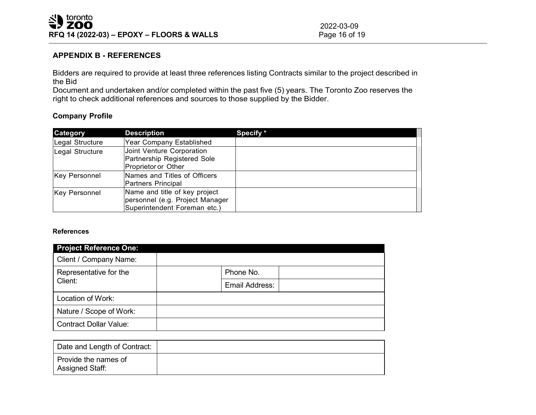2022-03-09<br>Page 16 of 19

## **APPENDIX B - REFERENCES**

Bidders are required to provide at least three references listing Contracts similar to the project described in the Bid

Document and undertaken and/or completed within the past five (5) years. The Toronto Zoo reserves the right to check additional references and sources to those supplied by the Bidder.

## **Company Profile**

| Category             | <b>Description</b>                                                                               | Specify * |
|----------------------|--------------------------------------------------------------------------------------------------|-----------|
| Legal Structure      | Year Company Established                                                                         |           |
| Legal Structure      | Joint Venture Corporation<br>Partnership Registered Sole<br>Proprietor or Other                  |           |
| <b>Key Personnel</b> | Names and Titles of Officers<br>Partners Principal                                               |           |
| <b>Key Personnel</b> | Name and title of key project<br>personnel (e.g. Project Manager<br>Superintendent Foreman etc.) |           |

#### **References**

| <b>Project Reference One:</b>     |                |
|-----------------------------------|----------------|
| Client / Company Name:            |                |
| Representative for the<br>Client: | Phone No.      |
|                                   | Email Address: |
| Location of Work:                 |                |
| Nature / Scope of Work:           |                |
| <b>Contract Dollar Value:</b>     |                |

| Date and Length of Contract:            |  |
|-----------------------------------------|--|
| Provide the names of<br>Assigned Staff: |  |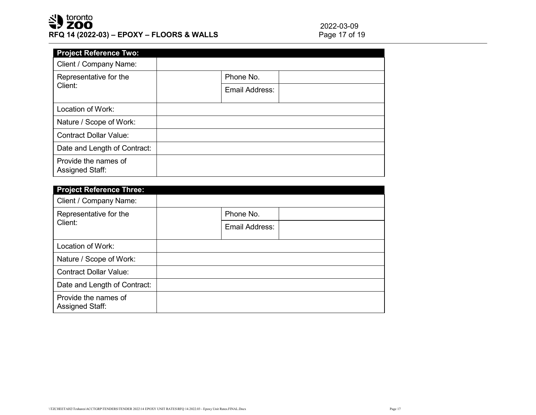# SU toronto **RFQ 14 (2022-03) – EPOXY – FLOORS & WALLS**

2022-03-09<br>Page 17 of 19

| <b>Project Reference Two:</b>                  |                |  |
|------------------------------------------------|----------------|--|
| Client / Company Name:                         |                |  |
| Representative for the<br>Client:              | Phone No.      |  |
|                                                | Email Address: |  |
| Location of Work:                              |                |  |
| Nature / Scope of Work:                        |                |  |
| <b>Contract Dollar Value:</b>                  |                |  |
| Date and Length of Contract:                   |                |  |
| Provide the names of<br><b>Assigned Staff:</b> |                |  |

| <b>Project Reference Three:</b>                |                |  |
|------------------------------------------------|----------------|--|
| Client / Company Name:                         |                |  |
| Representative for the<br>Client:              | Phone No.      |  |
|                                                | Email Address: |  |
| Location of Work:                              |                |  |
| Nature / Scope of Work:                        |                |  |
| <b>Contract Dollar Value:</b>                  |                |  |
| Date and Length of Contract:                   |                |  |
| Provide the names of<br><b>Assigned Staff:</b> |                |  |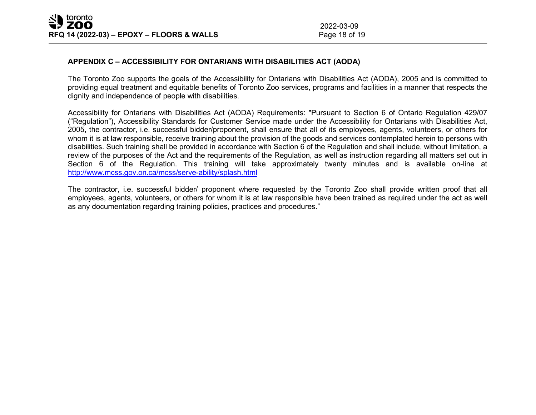## **APPENDIX C – ACCESSIBILITY FOR ONTARIANS WITH DISABILITIES ACT (AODA)**

The Toronto Zoo supports the goals of the Accessibility for Ontarians with Disabilities Act (AODA), 2005 and is committed to providing equal treatment and equitable benefits of Toronto Zoo services, programs and facilities in a manner that respects the dignity and independence of people with disabilities.

Accessibility for Ontarians with Disabilities Act (AODA) Requirements: "Pursuant to Section 6 of Ontario Regulation 429/07 ("Regulation"), Accessibility Standards for Customer Service made under the Accessibility for Ontarians with Disabilities Act, 2005, the contractor, i.e. successful bidder/proponent, shall ensure that all of its employees, agents, volunteers, or others for whom it is at law responsible, receive training about the provision of the goods and services contemplated herein to persons with disabilities. Such training shall be provided in accordance with Section 6 of the Regulation and shall include, without limitation, a review of the purposes of the Act and the requirements of the Regulation, as well as instruction regarding all matters set out in Section 6 of the Regulation. This training will take approximately twenty minutes and is available on-line at <http://www.mcss.gov.on.ca/mcss/serve-ability/splash.html>

The contractor, i.e. successful bidder/ proponent where requested by the Toronto Zoo shall provide written proof that all employees, agents, volunteers, or others for whom it is at law responsible have been trained as required under the act as well as any documentation regarding training policies, practices and procedures."